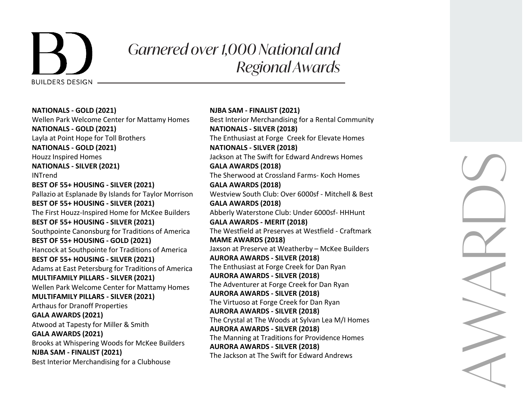

## *Garnered over 1,000 National and Regional Awards*

**NATIONALS - GOLD (2021)** Wellen Park Welcome Center for Mattamy Homes **NATIONALS - GOLD (2021)** Layla at Point Hope for Toll Brothers **NATIONALS - GOLD (2021)**  Houzz Inspired Homes **NATIONALS - SILVER (2021)** INTrend **BEST OF 55+ HOUSING - SILVER (2021)**  Pallazio at Esplanade By Islands for Taylor Morrison **BEST OF 55+ HOUSING - SILVER (2021)** The First Houzz-Inspired Home for McKee Builders **BEST OF 55+ HOUSING - SILVER (2021)** Southpointe Canonsburg for Traditions of America **BEST OF 55+ HOUSING - GOLD (2021)** Hancock at Southpointe for Traditions of America **BEST OF 55+ HOUSING - SILVER (2021)** Adams at East Petersburg for Traditions of America **MULTIFAMILY PILLARS - SILVER (2021)** Wellen Park Welcome Center for Mattamy Homes **MULTIFAMILY PILLARS - SILVER (2021)** Arthaus for Dranoff Properties **GALA AWARDS (2021)** Atwood at Tapesty for Miller & Smith **GALA AWARDS (2021)** Brooks at Whispering Woods for McKee Builders **NJBA SAM - FINALIST (2021)** Best Interior Merchandising for a Clubhouse

**NJBA SAM - FINALIST (2021)** Best Interior Merchandising for a Rental Community **NATIONALS - SILVER (2018)**  The Enthusiast at Forge Creek for Elevate Homes **NATIONALS - SILVER (2018)**  Jackson at The Swift for Edward Andrews Homes **GALA AWARDS (2018)** The Sherwood at Crossland Farms- Koch Homes **GALA AWARDS (2018)** Westview South Club: Over 6000sf - Mitchell & Best **GALA AWARDS (2018)** Abberly Waterstone Club: Under 6000sf- HHHunt **GALA AWARDS - MERIT (2018)** The Westfield at Preserves at Westfield - Craftmark **MAME AWARDS (2018)** Jaxson at Preserve at Weatherby – McKee Builders **AURORA AWARDS - SILVER (2018)** The Enthusiast at Forge Creek for Dan Ryan **AURORA AWARDS - SILVER (2018)** The Adventurer at Forge Creek for Dan Ryan **AURORA AWARDS - SILVER (2018)** The Virtuoso at Forge Creek for Dan Ryan **AURORA AWARDS - SILVER (2018)** The Crystal at The Woods at Sylvan Lea M/I Homes **AURORA AWARDS - SILVER (2018)** The Manning at Traditions for Providence Homes **AURORA AWARDS - SILVER (2018)** The Jackson at The Swift for Edward Andrews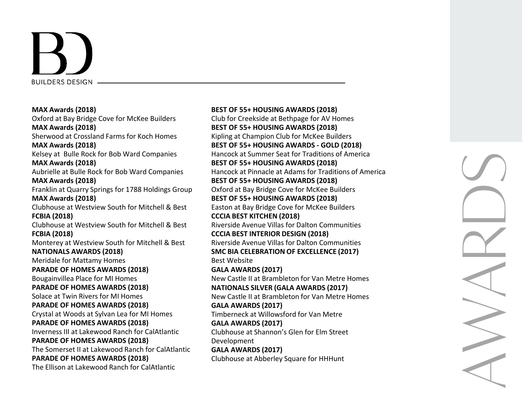

**MAX Awards (2018)** Oxford at Bay Bridge Cove for McKee Builders **MAX Awards (2018)** Sherwood at Crossland Farms for Koch Homes **MAX Awards (2018)** Kelsey at Bulle Rock for Bob Ward Companies **MAX Awards (2018)** Aubrielle at Bulle Rock for Bob Ward Companies **MAX Awards (2018)** Franklin at Quarry Springs for 1788 Holdings Group **MAX Awards (2018)** Clubhouse at Westview South for Mitchell & Best **FCBIA (2018)** Clubhouse at Westview South for Mitchell & Best **FCBIA (2018)** Monterey at Westview South for Mitchell & Best **NATIONALS AWARDS (2018)** Meridale for Mattamy Homes **PARADE OF HOMES AWARDS (2018)** Bougainvillea Place for MI Homes **PARADE OF HOMES AWARDS (2018)** Solace at Twin Rivers for MI Homes **PARADE OF HOMES AWARDS (2018)** Crystal at Woods at Sylvan Lea for MI Homes **PARADE OF HOMES AWARDS (2018)** Inverness III at Lakewood Ranch for CalAtlantic **PARADE OF HOMES AWARDS (2018)** The Somerset II at Lakewood Ranch for CalAtlantic **PARADE OF HOMES AWARDS (2018)** The Ellison at Lakewood Ranch for CalAtlantic

**BEST OF 55+ HOUSING AWARDS (2018)** Club for Creekside at Bethpage for AV Homes **BEST OF 55+ HOUSING AWARDS (2018)** Kipling at Champion Club for McKee Builders **BEST OF 55+ HOUSING AWARDS - GOLD (2018)** Hancock at Summer Seat for Traditions of America **BEST OF 55+ HOUSING AWARDS (2018)** Hancock at Pinnacle at Adams for Traditions of America **BEST OF 55+ HOUSING AWARDS (2018)** Oxford at Bay Bridge Cove for McKee Builders **BEST OF 55+ HOUSING AWARDS (2018)** Easton at Bay Bridge Cove for McKee Builders **CCCIA BEST KITCHEN (2018)** Riverside Avenue Villas for Dalton Communities **CCCIA BEST INTERIOR DESIGN (2018)** Riverside Avenue Villas for Dalton Communities **SMC BIA CELEBRATION OF EXCELLENCE (2017)** Best Website **GALA AWARDS (2017)** New Castle II at Brambleton for Van Metre Homes **NATIONALS SILVER (GALA AWARDS (2017)** New Castle II at Brambleton for Van Metre Homes **GALA AWARDS (2017)** Timberneck at Willowsford for Van Metre **GALA AWARDS (2017)** Clubhouse at Shannon's Glen for Elm Street Development **GALA AWARDS (2017)** Clubhouse at Abberley Square for HHHunt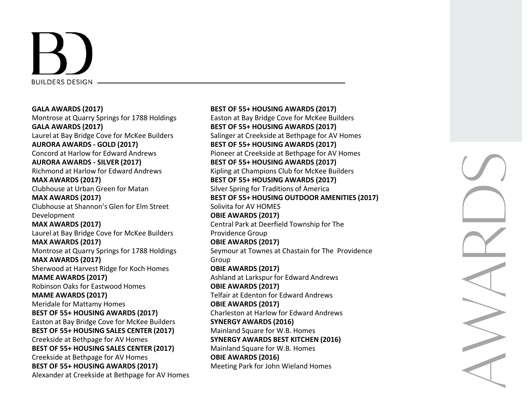

**GALA AWARDS (2017)** Montrose at Quarry Springs for 1788 Holdings **GALA AWARDS (2017)** Laurel at Bay Bridge Cove for McKee Builders **AURORA AWARDS - GOLD (2017)** Concord at Harlow for Edward Andrews **AURORA AWARDS - SILVER (2017)** Richmond at Harlow for Edward Andrews **MAX AWARDS (2017)** Clubhouse at Urban Green for Matan **MAX AWARDS (2017)** Clubhouse at Shannon's Glen for Elm Street Development **MAX AWARDS (2017)** Laurel at Bay Bridge Cove for McKee Builders **MAX AWARDS (2017)** Montrose at Quarry Springs for 1788 Holdings **MAX AWARDS (2017)** Sherwood at Harvest Ridge for Koch Homes **MAME AWARDS (2017)** Robinson Oaks for Eastwood Homes **MAME AWARDS (2017)** Meridale for Mattamy Homes **BEST OF 55+ HOUSING AWARDS (2017)** Easton at Bay Bridge Cove for McKee Builders **BEST OF 55+ HOUSING SALES CENTER (2017)** Creekside at Bethpage for AV Homes **BEST OF 55+ HOUSING SALES CENTER (2017)** Creekside at Bethpage for AV Homes **BEST OF 55+ HOUSING AWARDS (2017)** Alexander at Creekside at Bethpage for AV Homes **BEST OF 55+ HOUSING AWARDS (2017)** Easton at Bay Bridge Cove for McKee Builders **BEST OF 55+ HOUSING AWARDS (2017)** Salinger at Creekside at Bethpage for AV Homes **BEST OF 55+ HOUSING AWARDS (2017)** Pioneer at Creekside at Bethpage for AV Homes **BEST OF 55+ HOUSING AWARDS (2017)** Kipling at Champions Club for McKee Builders **BEST OF 55+ HOUSING AWARDS (2017)** Silver Spring for Traditions of America **BEST OF 55+ HOUSING OUTDOOR AMENITIES (2017)** Solivita for AV HOMES **OBIE AWARDS (2017)** Central Park at Deerfield Township for The Providence Group **OBIE AWARDS (2017)** Seymour at Townes at Chastain for The Providence Group **OBIE AWARDS (2017)** Ashland at Larkspur for Edward Andrews **OBIE AWARDS (2017)** Telfair at Edenton for Edward Andrews **OBIE AWARDS (2017)** Charleston at Harlow for Edward Andrews **SYNERGY AWARDS (2016)** Mainland Square for W.B. Homes **SYNERGY AWARDS BEST KITCHEN (2016)** Mainland Square for W.B. Homes **OBIE AWARDS (2016)** Meeting Park for John Wieland Homes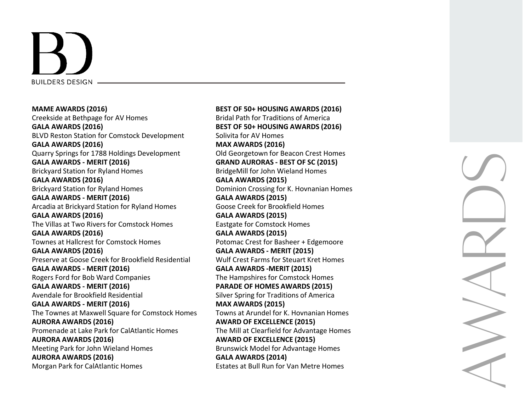

**MAME AWARDS (2016)** Creekside at Bethpage for AV Homes **GALA AWARDS (2016)** BLVD Reston Station for Comstock Development **GALA AWARDS (2016)** Quarry Springs for 1788 Holdings Development **GALA AWARDS - MERIT (2016)** Brickyard Station for Ryland Homes **GALA AWARDS (2016)** Brickyard Station for Ryland Homes **GALA AWARDS - MERIT (2016)** Arcadia at Brickyard Station for Ryland Homes **GALA AWARDS (2016)** The Villas at Two Rivers for Comstock Homes **GALA AWARDS (2016)** Townes at Hallcrest for Comstock Homes **GALA AWARDS (2016)** Preserve at Goose Creek for Brookfield Residential **GALA AWARDS - MERIT (2016)** Rogers Ford for Bob Ward Companies **GALA AWARDS - MERIT (2016)** Avendale for Brookfield Residential **GALA AWARDS - MERIT (2016)** The Townes at Maxwell Square for Comstock Homes **AURORA AWARDS (2016)** Promenade at Lake Park for CalAtlantic Homes **AURORA AWARDS (2016)** Meeting Park for John Wieland Homes **AURORA AWARDS (2016)** Morgan Park for CalAtlantic Homes

**BEST OF 50+ HOUSING AWARDS (2016)** Bridal Path for Traditions of America **BEST OF 50+ HOUSING AWARDS (2016)** Solivita for AV Homes **MAX AWARDS (2016)** Old Georgetown for Beacon Crest Homes **GRAND AURORA S - BEST OF SC (2015)** BridgeMill for John Wieland Homes **GALA AWARDS (2015)** Dominion Crossing for K. Hovnanian Homes **GALA AWARDS (2015)** Goose Creek for Brookfield Homes **GALA AWARDS (2015)** Eastgate for Comstock Homes **GALA AWARDS (2015)** Potomac Crest for Basheer + Edgemoore **GALA AWARDS - MERIT (2015)** Wulf Crest Farms for Steuart Kret Homes **GALA AWARDS -MERIT (2015)** The Hampshires for Comstock Homes **PARADE OF HOMES AWARDS (2015)** Silver Spring for Traditions of America **MAX AWARDS (2015)** Towns at Arundel for K. Hovnanian Homes **AWARD OF EXCELLENCE (2015)** The Mill at Clearfield for Advantage Homes **AWARD OF EXCELLENCE (2015)** Brunswick Model for Advantage Homes **GALA AWARDS (2014)** Estates at Bull Run for Van Metre Homes